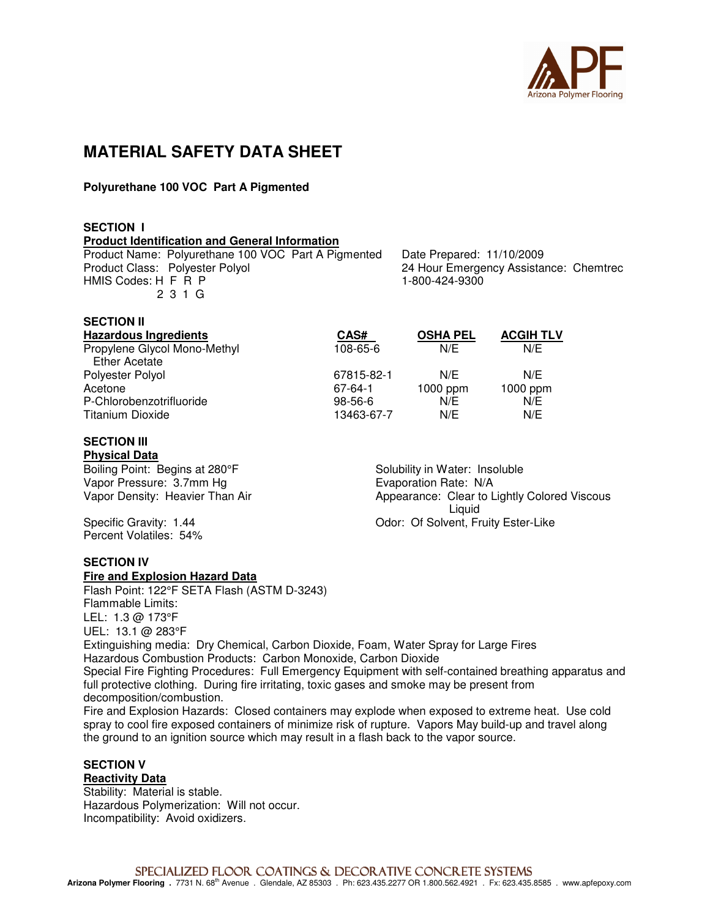

# **MATERIAL SAFETY DATA SHEET**

# **Polyurethane 100 VOC Part A Pigmented**

# **SECTION I**

**SECTION II** 

**Product Identification and General Information**

Product Name: Polyurethane 100 VOC Part A Pigmented Date Prepared: 11/10/2009 HMIS Codes: H F R P 1-800-424-9300 2 3 1 G

24 Hour Emergency Assistance: Chemtrec

| SECTION II                   |            |                 |                  |
|------------------------------|------------|-----------------|------------------|
| <b>Hazardous Ingredients</b> | CAS#       | <b>OSHA PEL</b> | <b>ACGIH TLV</b> |
| Propylene Glycol Mono-Methyl | 108-65-6   | N/E             | N/E              |
| Ether Acetate                |            |                 |                  |
| Polyester Polyol             | 67815-82-1 | N/F             | N/F              |
| Acetone                      | 67-64-1    | 1000 ppm        | $1000$ ppm       |

| <b>FUIVESIEI FUIVUI</b>  | 01013-04-1 | IVE        | IVC             |  |
|--------------------------|------------|------------|-----------------|--|
| Acetone                  | 67-64-1    | $1000$ ppm | 1000 ppr<br>N/E |  |
| P-Chlorobenzotrifluoride | $98-56-6$  | N/E        |                 |  |
| Titanium Dioxide         | 13463-67-7 | N/E        | N/E             |  |

#### **SECTION III Physical Data**

Boiling Point: Begins at 280°F Solubility in Water: Insoluble Vapor Pressure: 3.7mm Hg<br>
Vapor Density: Heavier Than Air<br>
Vapor Density: Heavier Than Air<br>
Vapor Appearance: Clear to L

Percent Volatiles: 54%

**SECTION IV** 

#### **Fire and Explosion Hazard Data**

Flash Point: 122°F SETA Flash (ASTM D-3243) Flammable Limits: LEL: 1.3 @ 173°F UEL: 13.1 @ 283°F Extinguishing media: Dry Chemical, Carbon Dioxide, Foam, Water Spray for Large Fires Hazardous Combustion Products: Carbon Monoxide, Carbon Dioxide

Special Fire Fighting Procedures: Full Emergency Equipment with self-contained breathing apparatus and full protective clothing. During fire irritating, toxic gases and smoke may be present from decomposition/combustion.

Fire and Explosion Hazards: Closed containers may explode when exposed to extreme heat. Use cold spray to cool fire exposed containers of minimize risk of rupture. Vapors May build-up and travel along the ground to an ignition source which may result in a flash back to the vapor source.

# **SECTION V**

**Reactivity Data**

Stability: Material is stable. Hazardous Polymerization: Will not occur. Incompatibility: Avoid oxidizers.

Appearance: Clear to Lightly Colored Viscous Liquid Specific Gravity: 1.44 Odor: Of Solvent, Fruity Ester-Like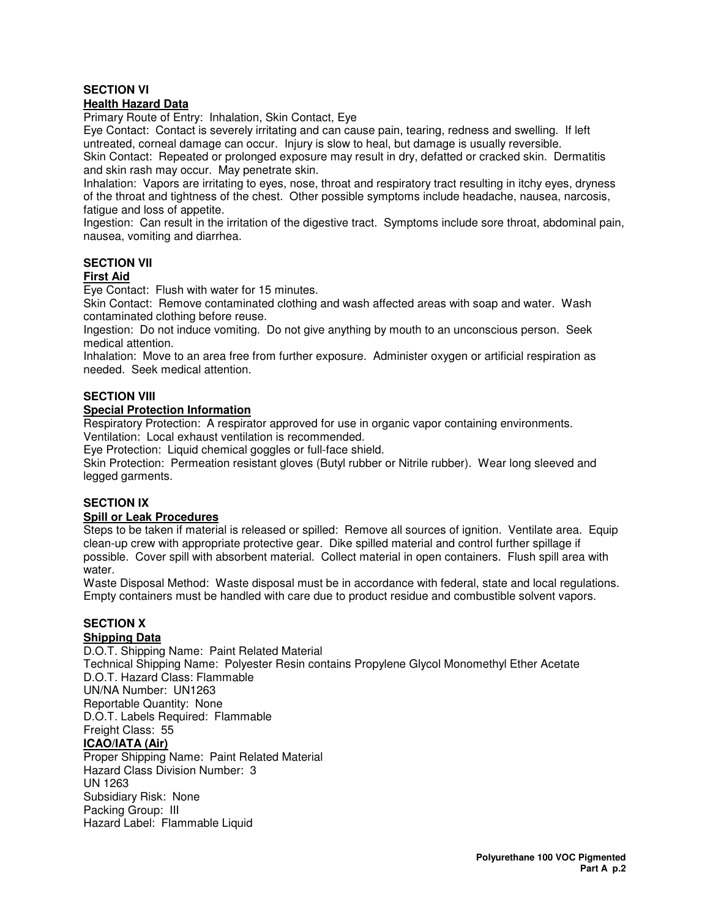# **SECTION VI**

# **Health Hazard Data**

Primary Route of Entry: Inhalation, Skin Contact, Eye

Eye Contact: Contact is severely irritating and can cause pain, tearing, redness and swelling. If left untreated, corneal damage can occur. Injury is slow to heal, but damage is usually reversible.

Skin Contact: Repeated or prolonged exposure may result in dry, defatted or cracked skin. Dermatitis and skin rash may occur. May penetrate skin.

Inhalation: Vapors are irritating to eyes, nose, throat and respiratory tract resulting in itchy eyes, dryness of the throat and tightness of the chest. Other possible symptoms include headache, nausea, narcosis, fatigue and loss of appetite.

Ingestion: Can result in the irritation of the digestive tract. Symptoms include sore throat, abdominal pain, nausea, vomiting and diarrhea.

# **SECTION VII**

# **First Aid**

Eye Contact: Flush with water for 15 minutes.

Skin Contact: Remove contaminated clothing and wash affected areas with soap and water. Wash contaminated clothing before reuse.

Ingestion: Do not induce vomiting. Do not give anything by mouth to an unconscious person. Seek medical attention.

Inhalation: Move to an area free from further exposure. Administer oxygen or artificial respiration as needed. Seek medical attention.

# **SECTION VIII**

#### **Special Protection Information**

Respiratory Protection: A respirator approved for use in organic vapor containing environments. Ventilation: Local exhaust ventilation is recommended.

Eye Protection: Liquid chemical goggles or full-face shield.

Skin Protection: Permeation resistant gloves (Butyl rubber or Nitrile rubber). Wear long sleeved and legged garments.

# **SECTION IX**

#### **Spill or Leak Procedures**

Steps to be taken if material is released or spilled: Remove all sources of ignition. Ventilate area. Equip clean-up crew with appropriate protective gear. Dike spilled material and control further spillage if possible. Cover spill with absorbent material. Collect material in open containers. Flush spill area with water.

Waste Disposal Method: Waste disposal must be in accordance with federal, state and local regulations. Empty containers must be handled with care due to product residue and combustible solvent vapors.

# **SECTION X**

# **Shipping Data**

D.O.T. Shipping Name: Paint Related Material Technical Shipping Name: Polyester Resin contains Propylene Glycol Monomethyl Ether Acetate D.O.T. Hazard Class: Flammable UN/NA Number: UN1263 Reportable Quantity: None D.O.T. Labels Required: Flammable Freight Class: 55 **ICAO/IATA (Air)** Proper Shipping Name: Paint Related Material Hazard Class Division Number: 3 UN 1263 Subsidiary Risk: None

Packing Group: III Hazard Label: Flammable Liquid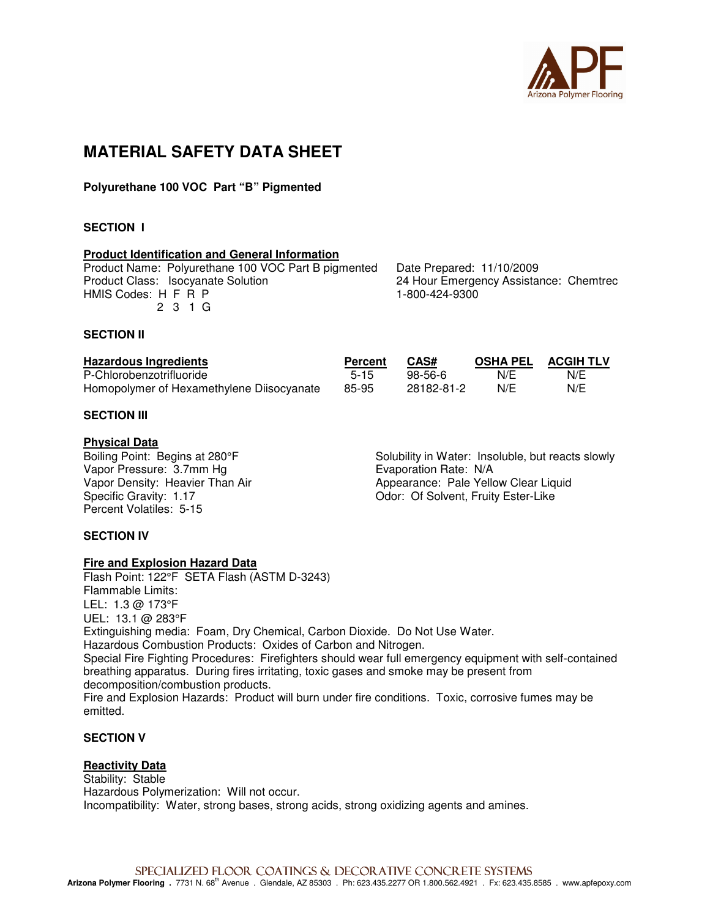

# **MATERIAL SAFETY DATA SHEET**

**Polyurethane 100 VOC Part "B" Pigmented** 

# **SECTION I**

#### **Product Identification and General Information**

| Product Name: Polyurethane 100 VOC Part B pigmented |
|-----------------------------------------------------|
| Product Class: Isocyanate Solution                  |
| HMIS Codes: H F R P                                 |
| 2 3 1 G                                             |

Date Prepared: 11/10/2009 24 Hour Emergency Assistance: Chemtrec 1-800-424-9300

#### **SECTION II**

| <b>Hazardous Ingredients</b>              | Percent | CAS#       | <b>OSHA PEL</b> | <b>ACGIH TLV</b> |
|-------------------------------------------|---------|------------|-----------------|------------------|
| P-Chlorobenzotrifluoride                  | $5-15$  | $98-56-6$  | N/E             | N/E              |
| Homopolymer of Hexamethylene Diisocyanate | 85-95   | 28182-81-2 | N/E             | N/E              |

# **SECTION III**

#### **Physical Data**

Vapor Pressure: 3.7mm Hg<br>
Vapor Density: Heavier Than Air **Example 2.1 September 2.1 Appearance: Pale Yello** Percent Volatiles: 5-15

Boiling Point: Begins at 280°F Solubility in Water: Insoluble, but reacts slowly Vapor Density: Heavier Than Air **Allection Appearance: Pale Yellow Clear Liquid**<br>
Specific Gravity: 1.17 **August 2010** Color: Of Solvent, Fruity Ester-Like Odor: Of Solvent, Fruity Ester-Like

# **SECTION IV**

#### **Fire and Explosion Hazard Data**

Flash Point: 122°F SETA Flash (ASTM D-3243) Flammable Limits: LEL: 1.3 @ 173°F UEL: 13.1 @ 283°F Extinguishing media: Foam, Dry Chemical, Carbon Dioxide. Do Not Use Water. Hazardous Combustion Products: Oxides of Carbon and Nitrogen. Special Fire Fighting Procedures: Firefighters should wear full emergency equipment with self-contained breathing apparatus. During fires irritating, toxic gases and smoke may be present from decomposition/combustion products. Fire and Explosion Hazards: Product will burn under fire conditions. Toxic, corrosive fumes may be emitted.

# **SECTION V**

#### **Reactivity Data** Stability: Stable Hazardous Polymerization: Will not occur. Incompatibility: Water, strong bases, strong acids, strong oxidizing agents and amines.